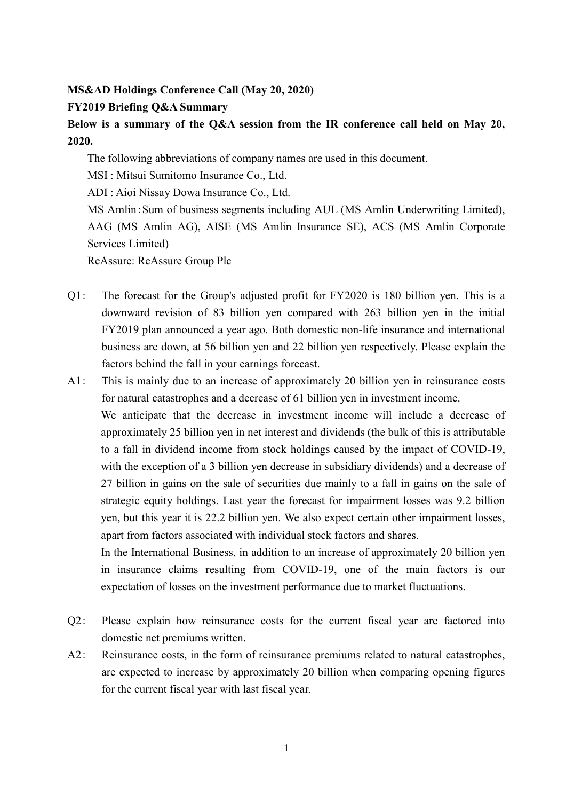## **MS&AD Holdings Conference Call (May 20, 2020)**

## **FY2019 Briefing Q&A Summary**

## **Below is a summary of the Q&A session from the IR conference call held on May 20, 2020.**

The following abbreviations of company names are used in this document.

MSI : Mitsui Sumitomo Insurance Co., Ltd.

ADI : Aioi Nissay Dowa Insurance Co., Ltd.

MS Amlin:Sum of business segments including AUL (MS Amlin Underwriting Limited), AAG (MS Amlin AG), AISE (MS Amlin Insurance SE), ACS (MS Amlin Corporate Services Limited)

ReAssure: ReAssure Group Plc

- Q1: The forecast for the Group's adjusted profit for FY2020 is 180 billion yen. This is a downward revision of 83 billion yen compared with 263 billion yen in the initial FY2019 plan announced a year ago. Both domestic non-life insurance and international business are down, at 56 billion yen and 22 billion yen respectively. Please explain the factors behind the fall in your earnings forecast.
- A1: This is mainly due to an increase of approximately 20 billion yen in reinsurance costs for natural catastrophes and a decrease of 61 billion yen in investment income. We anticipate that the decrease in investment income will include a decrease of approximately 25 billion yen in net interest and dividends (the bulk of this is attributable to a fall in dividend income from stock holdings caused by the impact of COVID-19, with the exception of a 3 billion yen decrease in subsidiary dividends) and a decrease of 27 billion in gains on the sale of securities due mainly to a fall in gains on the sale of strategic equity holdings. Last year the forecast for impairment losses was 9.2 billion yen, but this year it is 22.2 billion yen. We also expect certain other impairment losses, apart from factors associated with individual stock factors and shares. In the International Business, in addition to an increase of approximately 20 billion yen

in insurance claims resulting from COVID-19, one of the main factors is our expectation of losses on the investment performance due to market fluctuations.

- Q2: Please explain how reinsurance costs for the current fiscal year are factored into domestic net premiums written.
- A2: Reinsurance costs, in the form of reinsurance premiums related to natural catastrophes, are expected to increase by approximately 20 billion when comparing opening figures for the current fiscal year with last fiscal year.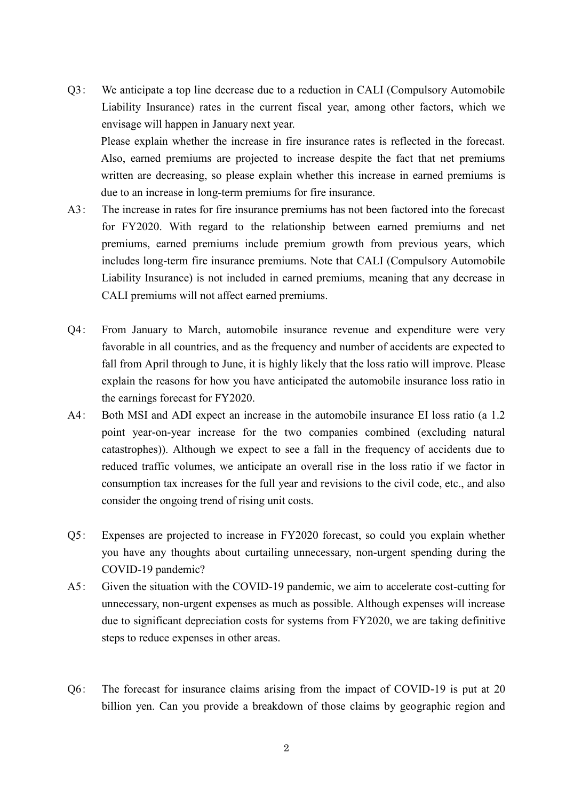Q3: We anticipate a top line decrease due to a reduction in CALI (Compulsory Automobile Liability Insurance) rates in the current fiscal year, among other factors, which we envisage will happen in January next year. Please explain whether the increase in fire insurance rates is reflected in the forecast. Also, earned premiums are projected to increase despite the fact that net premiums

written are decreasing, so please explain whether this increase in earned premiums is due to an increase in long-term premiums for fire insurance.

- A3: The increase in rates for fire insurance premiums has not been factored into the forecast for FY2020. With regard to the relationship between earned premiums and net premiums, earned premiums include premium growth from previous years, which includes long-term fire insurance premiums. Note that CALI (Compulsory Automobile Liability Insurance) is not included in earned premiums, meaning that any decrease in CALI premiums will not affect earned premiums.
- Q4: From January to March, automobile insurance revenue and expenditure were very favorable in all countries, and as the frequency and number of accidents are expected to fall from April through to June, it is highly likely that the loss ratio will improve. Please explain the reasons for how you have anticipated the automobile insurance loss ratio in the earnings forecast for FY2020.
- A4: Both MSI and ADI expect an increase in the automobile insurance EI loss ratio (a 1.2 point year-on-year increase for the two companies combined (excluding natural catastrophes)). Although we expect to see a fall in the frequency of accidents due to reduced traffic volumes, we anticipate an overall rise in the loss ratio if we factor in consumption tax increases for the full year and revisions to the civil code, etc., and also consider the ongoing trend of rising unit costs.
- Q5: Expenses are projected to increase in FY2020 forecast, so could you explain whether you have any thoughts about curtailing unnecessary, non-urgent spending during the COVID-19 pandemic?
- A5: Given the situation with the COVID-19 pandemic, we aim to accelerate cost-cutting for unnecessary, non-urgent expenses as much as possible. Although expenses will increase due to significant depreciation costs for systems from FY2020, we are taking definitive steps to reduce expenses in other areas.
- Q6: The forecast for insurance claims arising from the impact of COVID-19 is put at 20 billion yen. Can you provide a breakdown of those claims by geographic region and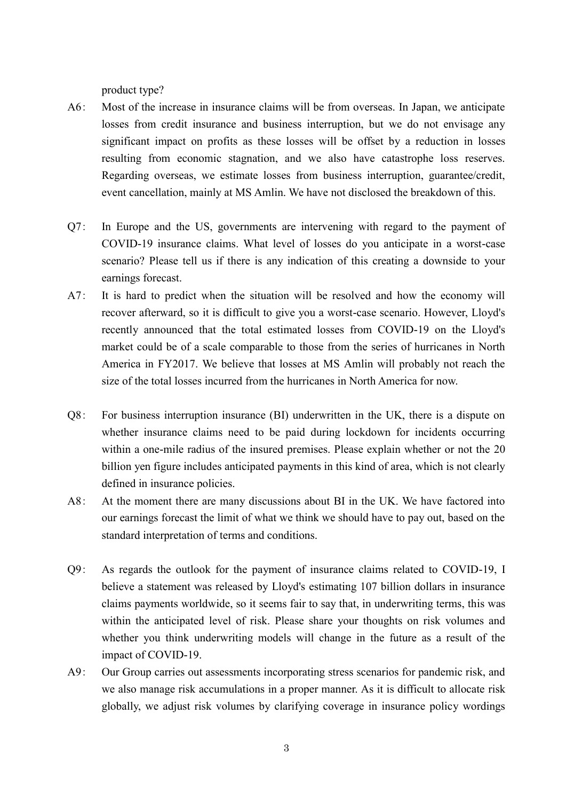product type?

- A6: Most of the increase in insurance claims will be from overseas. In Japan, we anticipate losses from credit insurance and business interruption, but we do not envisage any significant impact on profits as these losses will be offset by a reduction in losses resulting from economic stagnation, and we also have catastrophe loss reserves. Regarding overseas, we estimate losses from business interruption, guarantee/credit, event cancellation, mainly at MS Amlin. We have not disclosed the breakdown of this.
- Q7: In Europe and the US, governments are intervening with regard to the payment of COVID-19 insurance claims. What level of losses do you anticipate in a worst-case scenario? Please tell us if there is any indication of this creating a downside to your earnings forecast.
- A7: It is hard to predict when the situation will be resolved and how the economy will recover afterward, so it is difficult to give you a worst-case scenario. However, Lloyd's recently announced that the total estimated losses from COVID-19 on the Lloyd's market could be of a scale comparable to those from the series of hurricanes in North America in FY2017. We believe that losses at MS Amlin will probably not reach the size of the total losses incurred from the hurricanes in North America for now.
- Q8: For business interruption insurance (BI) underwritten in the UK, there is a dispute on whether insurance claims need to be paid during lockdown for incidents occurring within a one-mile radius of the insured premises. Please explain whether or not the 20 billion yen figure includes anticipated payments in this kind of area, which is not clearly defined in insurance policies.
- A8: At the moment there are many discussions about BI in the UK. We have factored into our earnings forecast the limit of what we think we should have to pay out, based on the standard interpretation of terms and conditions.
- Q9: As regards the outlook for the payment of insurance claims related to COVID-19, I believe a statement was released by Lloyd's estimating 107 billion dollars in insurance claims payments worldwide, so it seems fair to say that, in underwriting terms, this was within the anticipated level of risk. Please share your thoughts on risk volumes and whether you think underwriting models will change in the future as a result of the impact of COVID-19.
- A9: Our Group carries out assessments incorporating stress scenarios for pandemic risk, and we also manage risk accumulations in a proper manner. As it is difficult to allocate risk globally, we adjust risk volumes by clarifying coverage in insurance policy wordings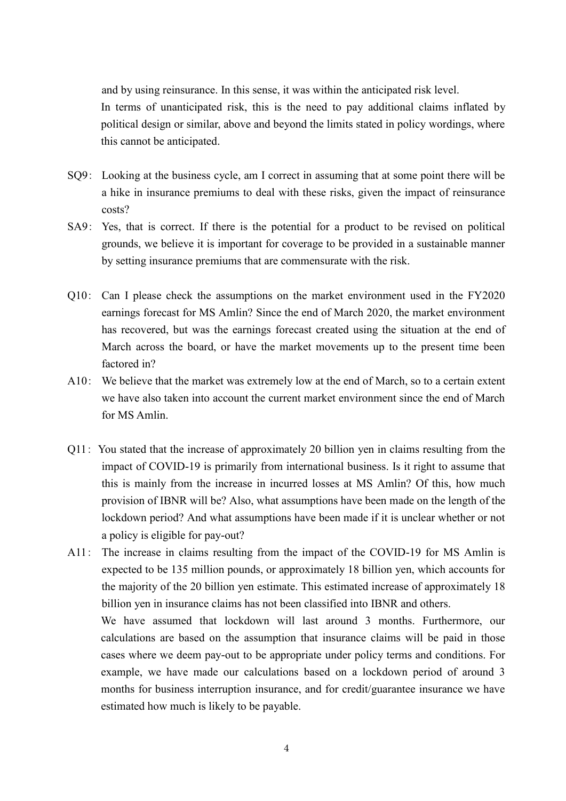and by using reinsurance. In this sense, it was within the anticipated risk level. In terms of unanticipated risk, this is the need to pay additional claims inflated by political design or similar, above and beyond the limits stated in policy wordings, where this cannot be anticipated.

- SQ9: Looking at the business cycle, am I correct in assuming that at some point there will be a hike in insurance premiums to deal with these risks, given the impact of reinsurance costs?
- SA9: Yes, that is correct. If there is the potential for a product to be revised on political grounds, we believe it is important for coverage to be provided in a sustainable manner by setting insurance premiums that are commensurate with the risk.
- Q10: Can I please check the assumptions on the market environment used in the FY2020 earnings forecast for MS Amlin? Since the end of March 2020, the market environment has recovered, but was the earnings forecast created using the situation at the end of March across the board, or have the market movements up to the present time been factored in?
- A10: We believe that the market was extremely low at the end of March, so to a certain extent we have also taken into account the current market environment since the end of March for MS Amlin.
- Q11: You stated that the increase of approximately 20 billion yen in claims resulting from the impact of COVID-19 is primarily from international business. Is it right to assume that this is mainly from the increase in incurred losses at MS Amlin? Of this, how much provision of IBNR will be? Also, what assumptions have been made on the length of the lockdown period? And what assumptions have been made if it is unclear whether or not a policy is eligible for pay-out?
- A11: The increase in claims resulting from the impact of the COVID-19 for MS Amlin is expected to be 135 million pounds, or approximately 18 billion yen, which accounts for the majority of the 20 billion yen estimate. This estimated increase of approximately 18 billion yen in insurance claims has not been classified into IBNR and others. We have assumed that lockdown will last around 3 months. Furthermore, our calculations are based on the assumption that insurance claims will be paid in those cases where we deem pay-out to be appropriate under policy terms and conditions. For example, we have made our calculations based on a lockdown period of around 3 months for business interruption insurance, and for credit/guarantee insurance we have estimated how much is likely to be payable.